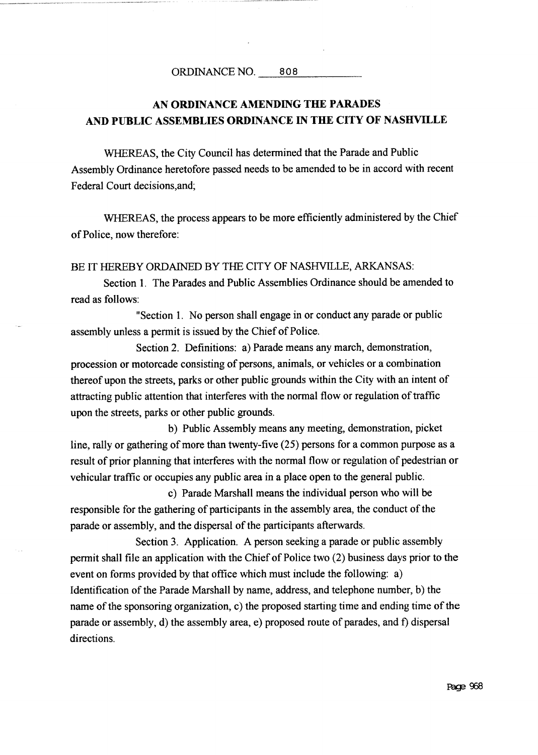## AN ORDINANCE AMENDING THE PARADES AND PUBLIC ASSEMBLIES ORDINANCE IN THE CITY OF NASHVILLE

WHEREAS, the City Council has determined that the Parade and Public Assembly Ordinance heretofore passed needs tobe amended tobe in accord with recent Federal Court decisions, and;

WHEREAS, the process appears to be more efficiently administered by the Chief of Police, now therefore:

BE IT HEREBY ORDAINED BY THE CITY OF NASHVILLE, ARKANSAS:

Section 1. The Parades and Public Assemblies Ordinance should be amended to read as follows

"Section 1. No person shall engage in or conduct any parade or public assembly unless a permit is issued by the Chief of Police.

Section 2. Definitions: a) Parade means any march, demonstration, procession or motorcade consisting of persons, animals, or vehicles or a combination thereof upon the streets, parks or other public grounds within the City with an intent of attracting public attention that interferes with the normal flow or regulation of traffic upon the streets, parks or other public grounds.

b) Public Assembly means any meeting, demonstration, picket line, rally or gathering of more than twenty-five  $(25)$  persons for a common purpose as a result of prior planning that interferes with the normal flow or regulation of pedestrian or vehicular traffic or occupies any public area in <sup>a</sup> place open to the general public

c) Parade Marshall means the individual person who will be responsible for the gathering of participants in the assembly area, the conduct of the parade or assembly, and the dispersal of the participants afterwards.

Section 3. Application. A person seeking a parade or public assembly permit shall file an application with the Chief of Police two  $(2)$  business days prior to the event on forms provided by that office which must include the following: a) Identification of the Parade Marshall by name, address, and telephone number, b) the name of the sponsoring organization, c) the proposed starting time and ending time of the parade or assembly, d) the assembly area, e) proposed route of parades, and f) dispersal directions.